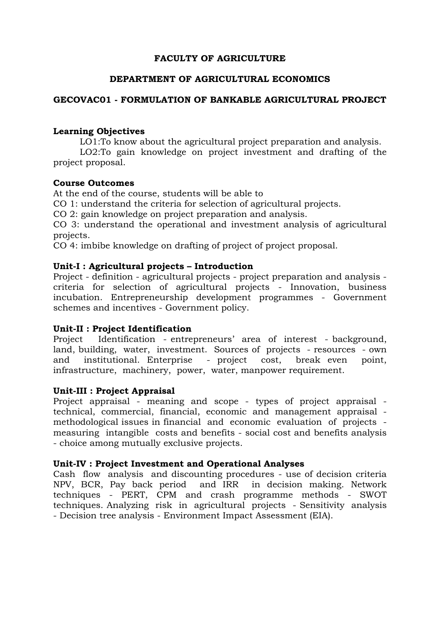## **FACULTY OF AGRICULTURE**

## **DEPARTMENT OF AGRICULTURAL ECONOMICS**

## **GECOVAC01 - FORMULATION OF BANKABLE AGRICULTURAL PROJECT**

### **Learning Objectives**

LO1:To know about the agricultural project preparation and analysis. LO2:To gain knowledge on project investment and drafting of the project proposal.

#### **Course Outcomes**

At the end of the course, students will be able to

CO 1: understand the criteria for selection of agricultural projects.

CO 2: gain knowledge on project preparation and analysis.

CO 3: understand the operational and investment analysis of agricultural projects.

CO 4: imbibe knowledge on drafting of project of project proposal.

### **Unit-I : Agricultural projects – Introduction**

Project - definition - agricultural projects - project preparation and analysis criteria for selection of agricultural projects - Innovation, business incubation. Entrepreneurship development programmes - Government schemes and incentives - Government policy.

### **Unit-II : Project Identification**

Project Identification - entrepreneurs' area of interest - background, land, building, water, investment. Sources of projects - resources - own and institutional. Enterprise - project cost, break even point, infrastructure, machinery, power, water, manpower requirement.

### **Unit-III : Project Appraisal**

Project appraisal - meaning and scope - types of project appraisal technical, commercial, financial, economic and management appraisal methodological issues in financial and economic evaluation of projects measuring intangible costs and benefits - social cost and benefits analysis - choice among mutually exclusive projects.

#### **Unit-IV : Project Investment and Operational Analyses**

Cash flow analysis and discounting procedures - use of decision criteria NPV, BCR, Pay back period and IRR in decision making. Network techniques - PERT, CPM and crash programme methods - SWOT techniques. Analyzing risk in agricultural projects - Sensitivity analysis - Decision tree analysis - Environment Impact Assessment (EIA).